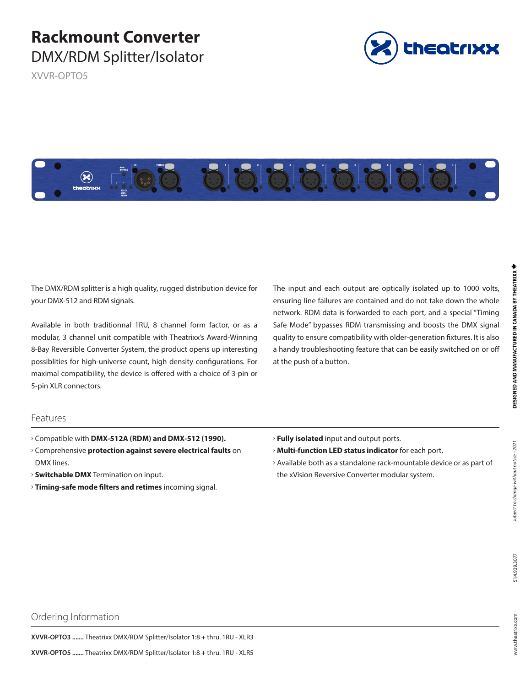# **Rackmount Converter**  DMX/RDM Splitter/Isolator

XVVR-OPTO5





The DMX/RDM splitter is a high quality, rugged distribution device for your DMX-512 and RDM signals.

Available in both traditionnal 1RU, 8 channel form factor, or as a modular, 3 channel unit compatible with Theatrixx's Award-Winning 8-Bay Reversible Converter System, the product opens up interesting possiblities for high-universe count, high density configurations. For maximal compatibility, the device is offered with a choice of 3-pin or 5-pin XLR connectors.

The input and each output are optically isolated up to 1000 volts, ensuring line failures are contained and do not take down the whole network. RDM data is forwarded to each port, and a special "Timing Safe Mode" bypasses RDM transmissing and boosts the DMX signal quality to ensure compatibility with older-generation fixtures. It is also a handy troubleshooting feature that can be easily switched on or off at the push of a button.

#### Features

- $\rightarrow$  Compatible with DMX-512A (RDM) and DMX-512 (1990).
- Ű Comprehensive **protection against severe electrical faults** on DMX lines.
- **Switchable DMX** Termination on input.
- **Timing-safe mode filters and retimes** incoming signal.
- **Fully isolated** input and output ports.
- **Multi-function LED status indicator** for each port.
- > Available both as a standalone rack-mountable device or as part of the xVision Reversive Converter modular system.

**DESIGNED AND MANUFACTURED IN CANADA BY THEATRIXX \*** 

# Ordering Information

**XVVR-OPTO3 .......** Theatrixx DMX/RDM Splitter/Isolator 1:8 + thru. 1RU - XLR3